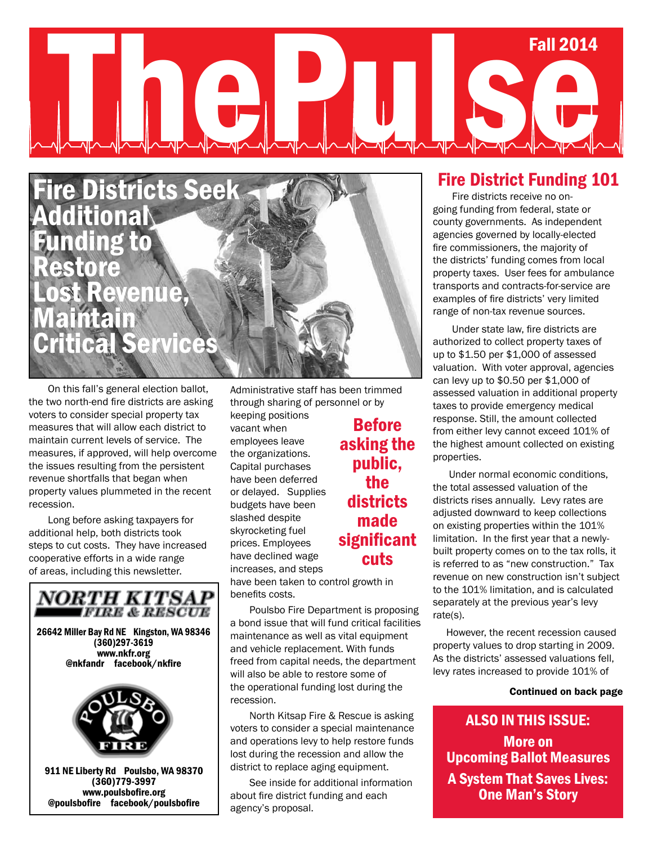# Summer 2013 Fall 2014 Fall 2014



On this fall's general election ballot, the two north-end fire districts are asking voters to consider special property tax measures that will allow each district to maintain current levels of service. The measures, if approved, will help overcome the issues resulting from the persistent revenue shortfalls that began when property values plummeted in the recent recession.

Long before asking taxpayers for additional help, both districts took steps to cut costs. They have increased cooperative efforts in a wide range of areas, including this newsletter.



Administrative staff has been trimmed through sharing of personnel or by keeping positions

vacant when employees leave the organizations. Capital purchases have been deferred or delayed. Supplies budgets have been slashed despite skyrocketing fuel prices. Employees have declined wage increases, and steps

have been taken to control growth in benefits costs.

Poulsbo Fire Department is proposing a bond issue that will fund critical facilities maintenance as well as vital equipment and vehicle replacement. With funds freed from capital needs, the department will also be able to restore some of the operational funding lost during the recession.

North Kitsap Fire & Rescue is asking voters to consider a special maintenance and operations levy to help restore funds lost during the recession and allow the district to replace aging equipment.

See inside for additional information about fire district funding and each agency's proposal.

#### Fire District Funding 101

going funding from federal, state or<br>county governments . As independent Fire districts receive no oncounty governments. As independent agencies governed by locally-elected fire commissioners, the majority of the districts' funding comes from local property taxes. User fees for ambulance transports and contracts-for-service are examples of fire districts' very limited range of non-tax revenue sources.

Under state law, fire districts are authorized to collect property taxes of up to \$1.50 per \$1,000 of assessed valuation. With voter approval, agencies can levy up to \$0.50 per \$1,000 of assessed valuation in additional property taxes to provide emergency medical response. Still, the amount collected from either levy cannot exceed 101% of the highest amount collected on existing properties.

 Under normal economic conditions, the total assessed valuation of the districts rises annually. Levy rates are adjusted downward to keep collections on existing properties within the 101% limitation. In the first year that a newlybuilt property comes on to the tax rolls, it is referred to as "new construction." Tax revenue on new construction isn't subject to the 101% limitation, and is calculated separately at the previous year's levy rate(s).

 However, the recent recession caused property values to drop starting in 2009. As the districts' assessed valuations fell, levy rates increased to provide 101% of

#### Continued on back page

ALSO IN THIS ISSUE: More on Upcoming Ballot Measures A System That Saves Lives: One Man's Story

## **Before** asking the public, the districts made significant cuts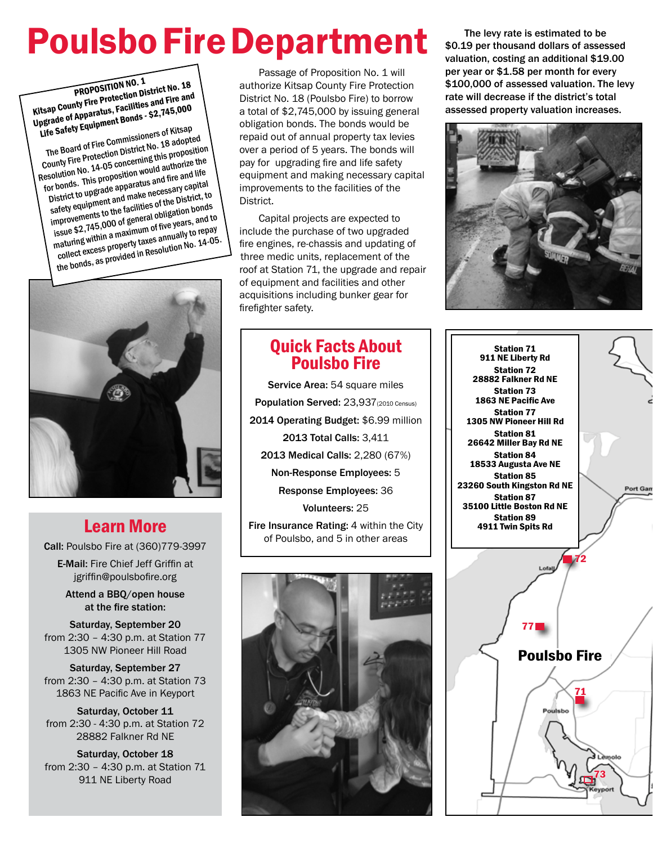# Poulsbo Fire Department

PROPOSITION NO. 1 Kitsap County Fire Protection District No. 18 Upgrade of Apparatus, Facilities and Fire and Life Safety Equipment Bonds - \$2,745,000

The Board of Fire Commissioners of Kitsap County Fire Protection District No. 18 adopted Resolution No. 14-05 concerning this proposition for bonds. This proposition would authorize the District to upgrade apparatus and fire and life safety equipment and make necessary capital improvements to the facilities of the District, to issue \$2,745,000 of general obligation bonds maturing within a maximum of five years, and to collect excess property taxes annually to repay  $\frac{1}{2}$  the bonds, as provided in Resolution No. 14-05.



## Learn More

Call: Poulsbo Fire at (360)779-3997

E-Mail: Fire Chief Jeff Griffin at jgriffin@poulsbofire.org

Attend a BBQ/open house at the fire station:

Saturday, September 20 from 2:30 – 4:30 p.m. at Station 77 1305 NW Pioneer Hill Road

Saturday, September 27 from 2:30 – 4:30 p.m. at Station 73 1863 NE Pacific Ave in Keyport

Saturday, October 11 from 2:30 - 4:30 p.m. at Station 72 28882 Falkner Rd NE

Saturday, October 18 from 2:30 – 4:30 p.m. at Station 71 911 NE Liberty Road

Passage of Proposition No. 1 will authorize Kitsap County Fire Protection District No. 18 (Poulsbo Fire) to borrow a total of \$2,745,000 by issuing general obligation bonds. The bonds would be repaid out of annual property tax levies over a period of 5 years. The bonds will pay for upgrading fire and life safety equipment and making necessary capital improvements to the facilities of the District.

Capital projects are expected to include the purchase of two upgraded fire engines, re-chassis and updating of three medic units, replacement of the roof at Station 71, the upgrade and repair of equipment and facilities and other acquisitions including bunker gear for firefighter safety.

## Quick Facts About Poulsbo Fire

Service Area: 54 square miles Population Served: 23,937(2010 Census) 2014 Operating Budget: \$6.99 million 2013 Total Calls: 3,411 2013 Medical Calls: 2,280 (67%) Non-Response Employees: 5 Response Employees: 36 Volunteers: 25 Fire Insurance Rating: 4 within the City of Poulsbo, and 5 in other areas



The levy rate is estimated to be \$0.19 per thousand dollars of assessed valuation, costing an additional \$19.00 per year or \$1.58 per month for every \$100,000 of assessed valuation. The levy rate will decrease if the district's total assessed property valuation increases.



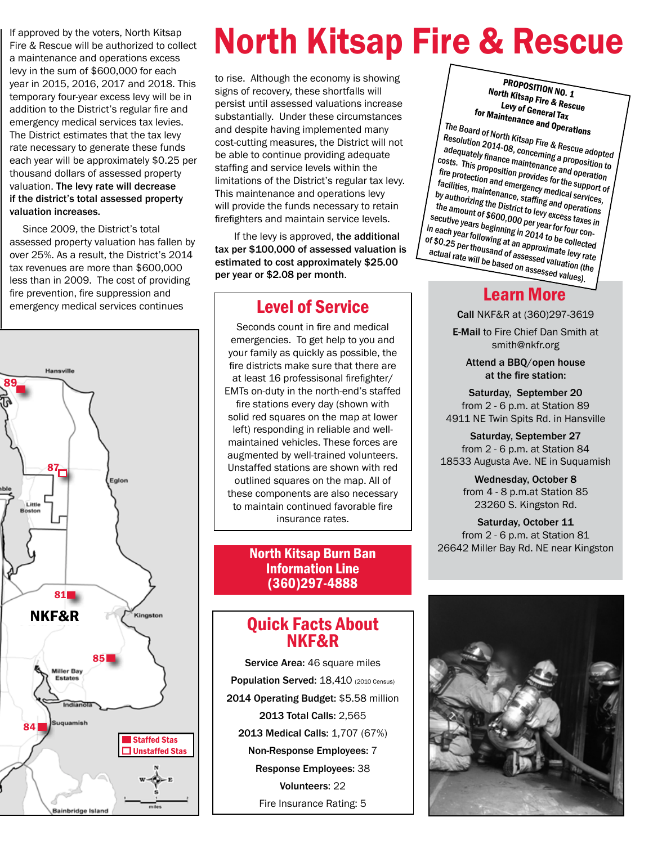If approved by the voters, North Kitsap Fire & Rescue will be authorized to collect a maintenance and operations excess levy in the sum of \$600,000 for each year in 2015, 2016, 2017 and 2018. This temporary four-year excess levy will be in addition to the District's regular fire and emergency medical services tax levies. The District estimates that the tax levy rate necessary to generate these funds each year will be approximately \$0.25 per thousand dollars of assessed property valuation. The levy rate will decrease if the district's total assessed property valuation increases.

 Since 2009, the District's total assessed property valuation has fallen by over 25%. As a result, the District's 2014 tax revenues are more than \$600,000 less than in 2009. The cost of providing fire prevention, fire suppression and emergency medical services continues



# North Kitsap Fire & Rescue

to rise. Although the economy is showing signs of recovery, these shortfalls will persist until assessed valuations increase substantially. Under these circumstances and despite having implemented many cost-cutting measures, the District will not be able to continue providing adequate staffing and service levels within the limitations of the District's regular tax levy. This maintenance and operations levy will provide the funds necessary to retain firefighters and maintain service levels.

If the levy is approved, the additional tax per \$100,000 of assessed valuation is estimated to cost approximately \$25.00 per year or \$2.08 per month.

### Level of Service

Seconds count in fire and medical emergencies. To get help to you and your family as quickly as possible, the fire districts make sure that there are at least 16 professisonal firefighter/ EMTs on-duty in the north-end's staffed fire stations every day (shown with solid red squares on the map at lower left) responding in reliable and wellmaintained vehicles. These forces are augmented by well-trained volunteers. Unstaffed stations are shown with red outlined squares on the map. All of these components are also necessary to maintain continued favorable fire insurance rates.

#### North Kitsap Burn Ban Information Line (360)297-4888

### Quick Facts About NKF&R

Service Area: 46 square miles Population Served: 18,410 (2010 Census) 2014 Operating Budget: \$5.58 million 2013 Total Calls: 2,565 2013 Medical Calls: 1,707 (67%) Non-Response Employees: 7 Response Employees: 38 Volunteers: 22 Fire Insurance Rating: 5

PROPOSITION NO. 1 North Kitsap Fire & Rescue Levy of General Tax for Maintenance and Operations

The Board of North Kitsap Fire & Rescue adopted Resolution 2014-08, concerning a proposition to dequately finance maintenance and operation costs. This proposition provides for the support of fire protection and emergency medical services, facilities, maintenance, staffing and operations by authorizing the District to levy excess taxes in the amount of \$600,000 per year for four consecutive years beginning in 2014 to be collected in each year following at an approximate levy rate of \$0.25 per thousand of assessed valuation (the actual rate will be based on assessed values).

### Learn More

Call NKF&R at (360)297-3619

E-Mail to Fire Chief Dan Smith at smith@nkfr.org

Attend a BBQ/open house at the fire station:

Saturday, September 20 from 2 - 6 p.m. at Station 89 4911 NE Twin Spits Rd. in Hansville

Saturday, September 27 from 2 - 6 p.m. at Station 84 18533 Augusta Ave. NE in Suquamish

> Wednesday, October 8 from 4 - 8 p.m.at Station 85 23260 S. Kingston Rd.

Saturday, October 11 from 2 - 6 p.m. at Station 81 26642 Miller Bay Rd. NE near Kingston